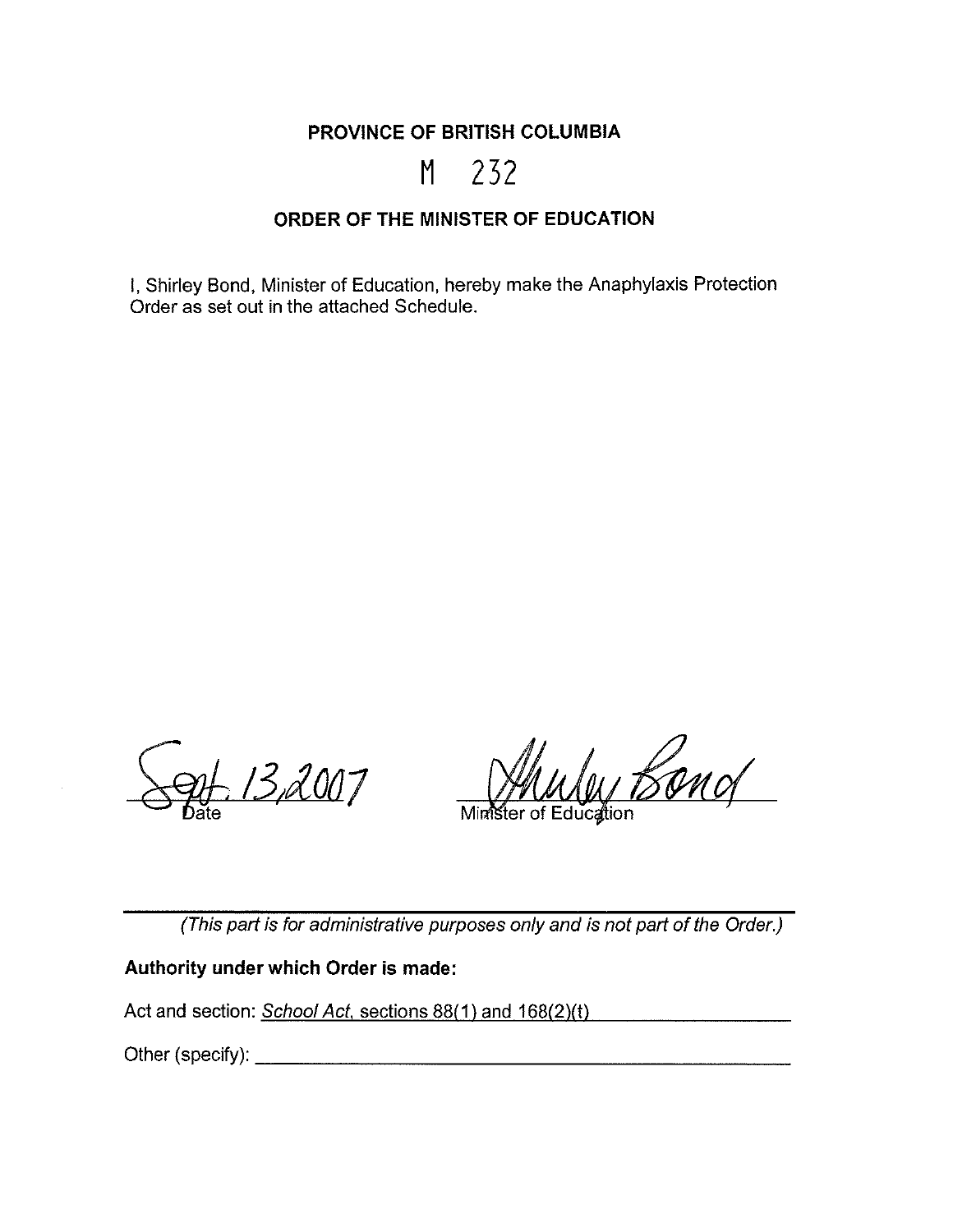**PROVINCE OF BRITISH COLUMBIA** 

# **M** 232

## **ORDER OF THE MINISTER OF EDUCATION**

I, Shirley Bond, Minister of Education, hereby make the Anaphylaxis Protection Order as set out in the attached Schedule.

13,2007 ate

u Band

Minister of Education

(This part is for administrative purposes only and is not part of the Order.)

#### **Authority under which Order is made:**

Act and section: School Act, sections 88(1) and 168(2)(t)

Other (specify): \_\_\_\_\_\_\_\_\_\_\_\_\_\_\_\_\_\_\_\_ \_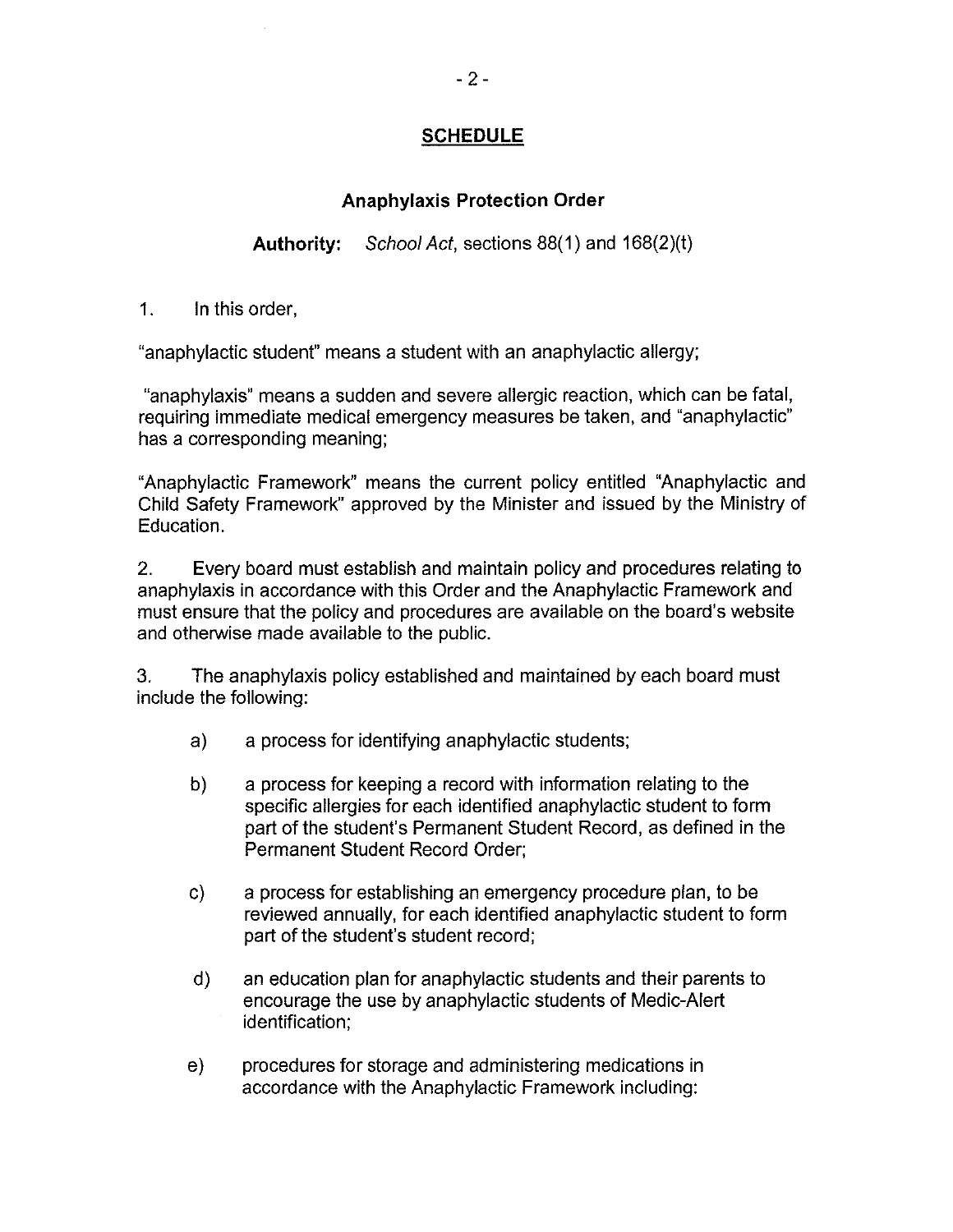## **SCHEDULE**

## **Anaphylaxis Protection Order**

**Authority:** School Act, sections 88( 1) and 168(2)(t)

1. In this order,

"anaphylactic student" means a student with an anaphylactic allergy;

"anaphylaxis" means a sudden and severe allergic reaction, which can be fatal, requiring immediate medical emergency measures be taken, and "anaphylactic" has a corresponding meaning;

"Anaphylactic Framework" means the current policy entitled "Anaphylactic and Child Safety Framework" approved by the Minister and issued by the Ministry of Education.

2. Every board must establish and maintain policy and procedures relating to anaphylaxis in accordance with this Order and the Anaphylactic Framework and must ensure that the policy and procedures are available on the board's website and otherwise made available to the public.

3. The anaphylaxis policy established and maintained by each board must include the following:

- a) a process for identifying anaphylactic students;
- b) a process for keeping a record with information relating to the specific allergies for each identified anaphylactic student to form part of the student's Permanent Student Record, as defined in the Permanent Student Record Order;
- c) a process for establishing an emergency procedure plan, to be reviewed annually, for each identified anaphylactic student to form part of the student's student record;
- d) an education plan for anaphylactic students and their parents to encourage the use by anaphylactic students of Medic-Alert identification;
- e) procedures for storage and administering medications in accordance with the Anaphylactic Framework including: